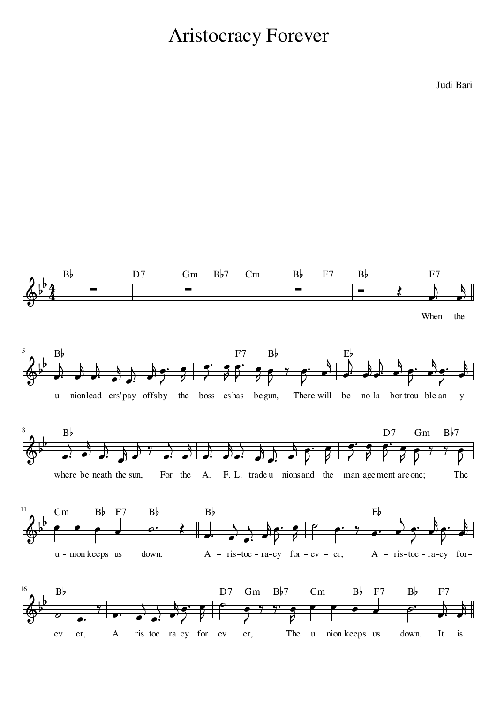## Aristocracy Forever

Judi Bari

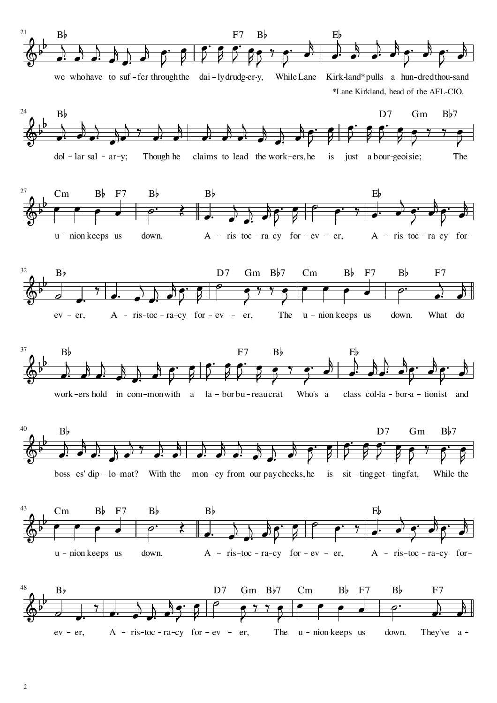

we whohave to suf-fer through the dai-lydrudger y, WhileLane Kirk land\*pulls a hun dredthou sand \*Lane Kirkland, head of the AFL-CIO.

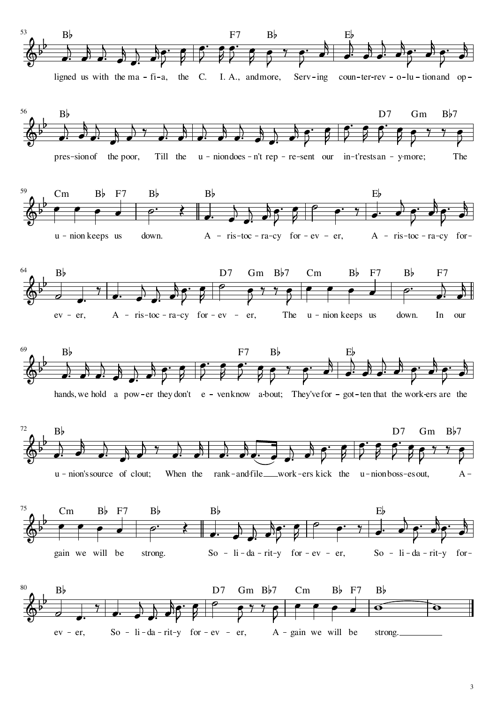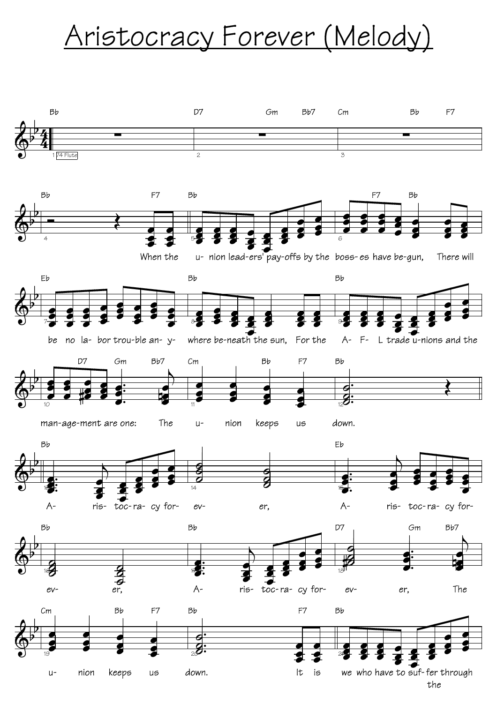# Aristocracy Forever (Melody)

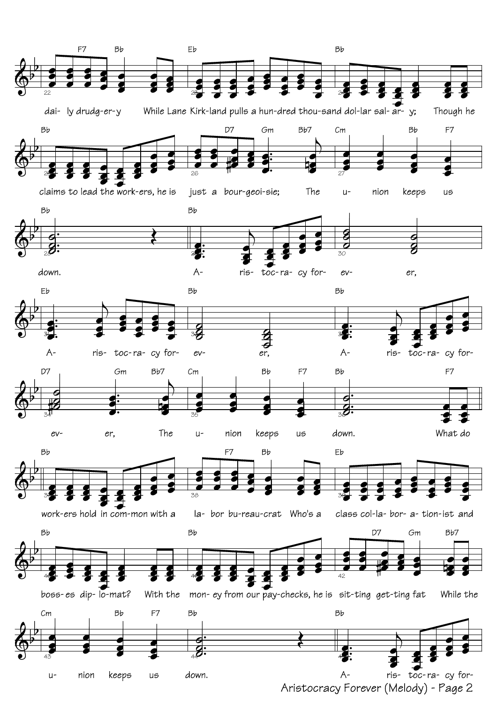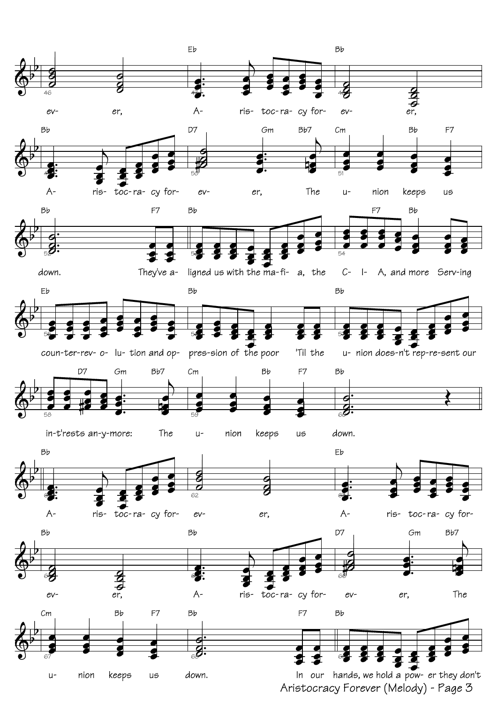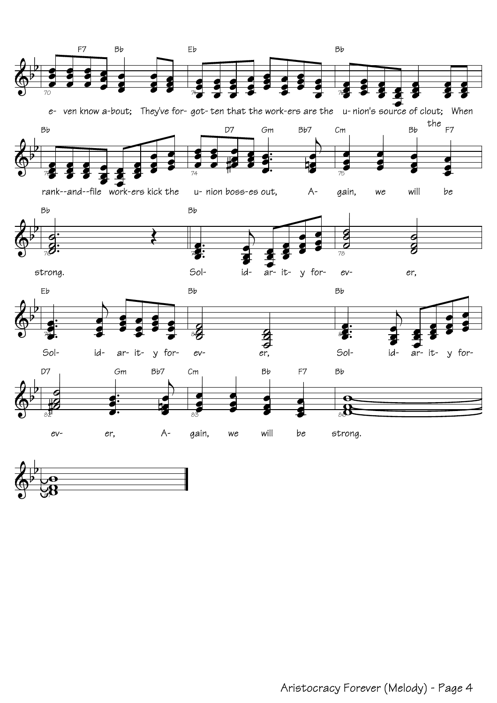

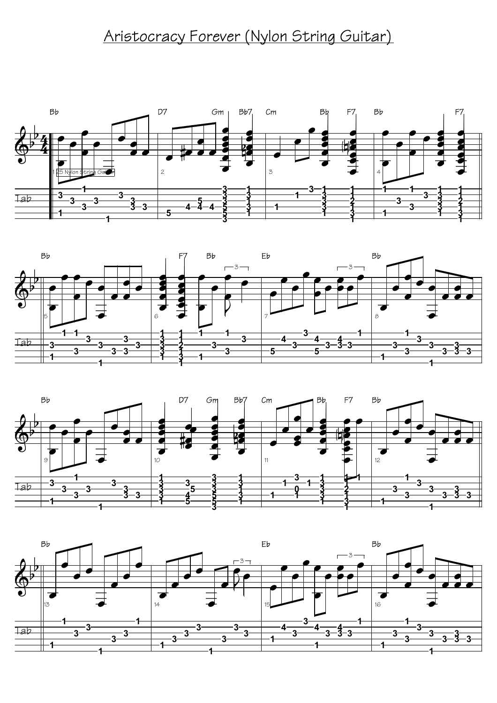#### Aristocracy Forever (Nylon String Guitar)







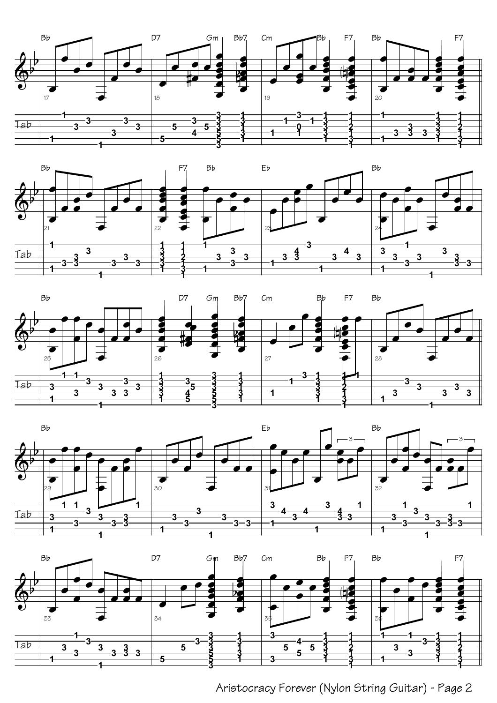









Aristocracy Forever (Nylon String Guitar) - Page 2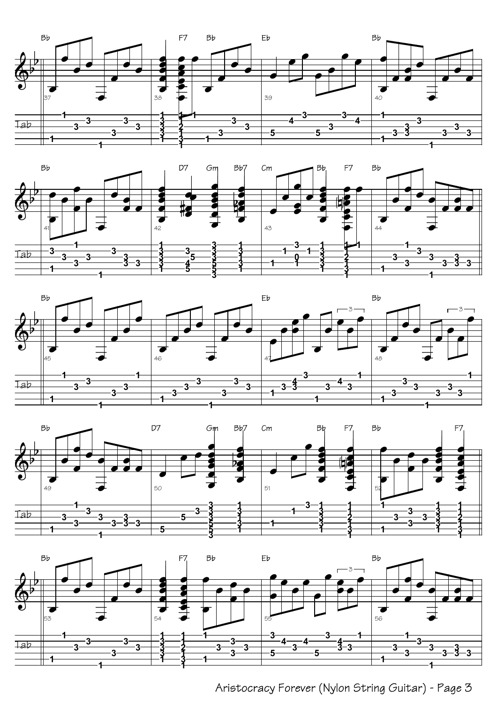





![](_page_9_Figure_3.jpeg)

![](_page_9_Figure_4.jpeg)

Aristocracy Forever (Nylon String Guitar) - Page 3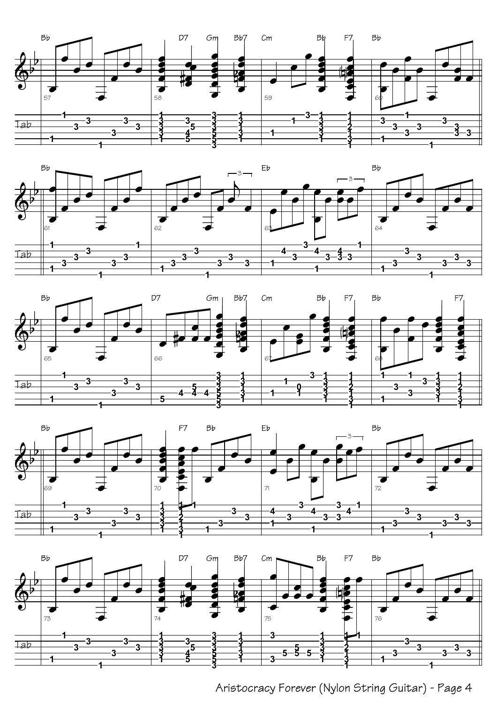![](_page_10_Figure_0.jpeg)

![](_page_10_Figure_1.jpeg)

![](_page_10_Figure_2.jpeg)

![](_page_10_Figure_3.jpeg)

![](_page_10_Figure_4.jpeg)

Aristocracy Forever (Nylon String Guitar) - Page 4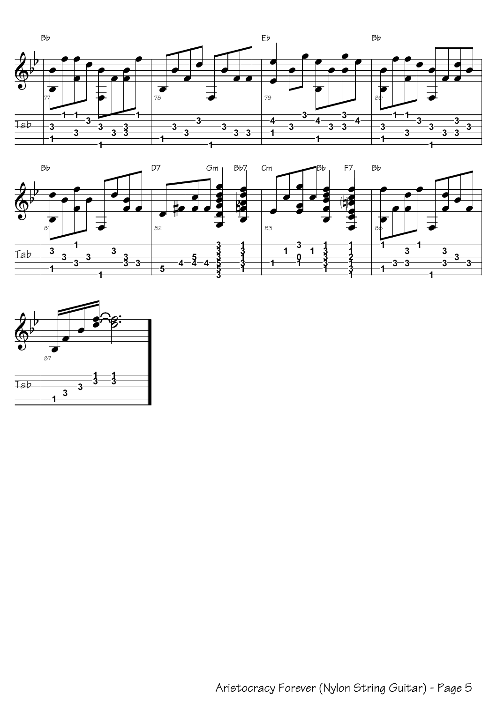![](_page_11_Figure_0.jpeg)

![](_page_11_Figure_1.jpeg)

![](_page_11_Figure_2.jpeg)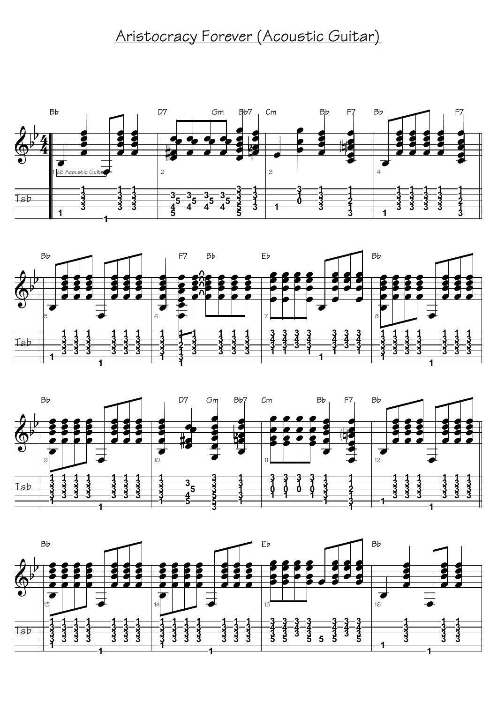#### Aristocracy Forever (Acoustic Guitar)

![](_page_12_Figure_1.jpeg)

![](_page_12_Figure_2.jpeg)

![](_page_12_Figure_3.jpeg)

![](_page_12_Figure_4.jpeg)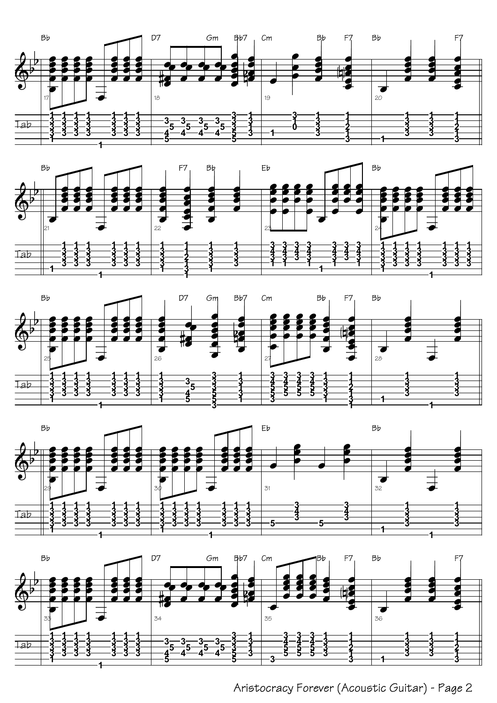![](_page_13_Figure_0.jpeg)

![](_page_13_Figure_1.jpeg)

![](_page_13_Figure_2.jpeg)

![](_page_13_Figure_3.jpeg)

![](_page_13_Figure_4.jpeg)

Aristocracy Forever (Acoustic Guitar) - Page 2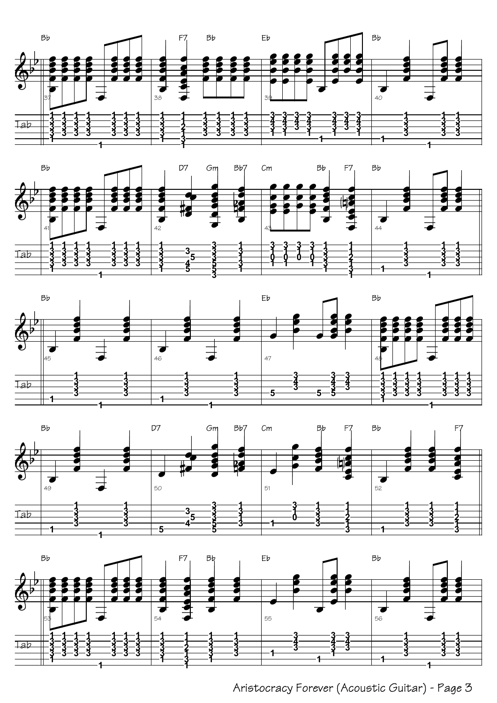![](_page_14_Figure_0.jpeg)

![](_page_14_Figure_1.jpeg)

![](_page_14_Figure_2.jpeg)

![](_page_14_Figure_3.jpeg)

![](_page_14_Figure_4.jpeg)

Aristocracy Forever (Acoustic Guitar) - Page 3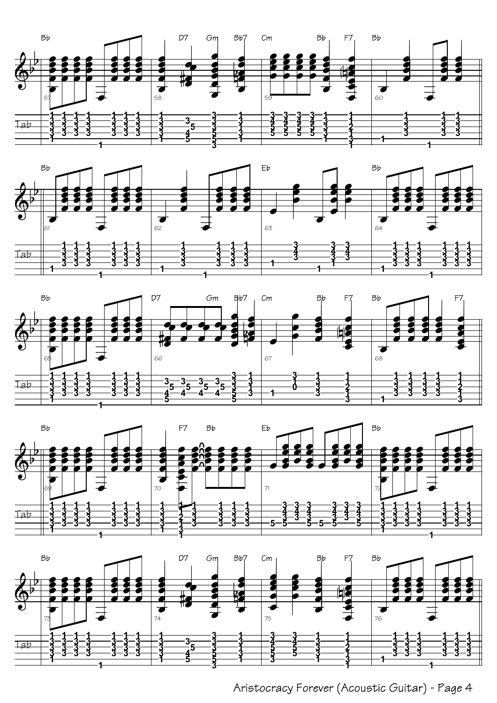![](_page_15_Figure_0.jpeg)

![](_page_15_Figure_1.jpeg)

![](_page_15_Figure_2.jpeg)

![](_page_15_Figure_3.jpeg)

![](_page_15_Figure_4.jpeg)

Aristocracy Forever (Acoustic Guitar) - Page 4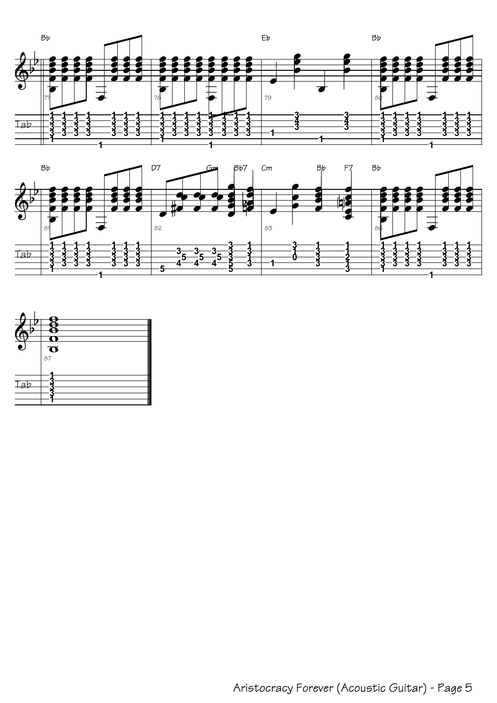![](_page_16_Figure_0.jpeg)

![](_page_16_Figure_1.jpeg)

![](_page_16_Figure_2.jpeg)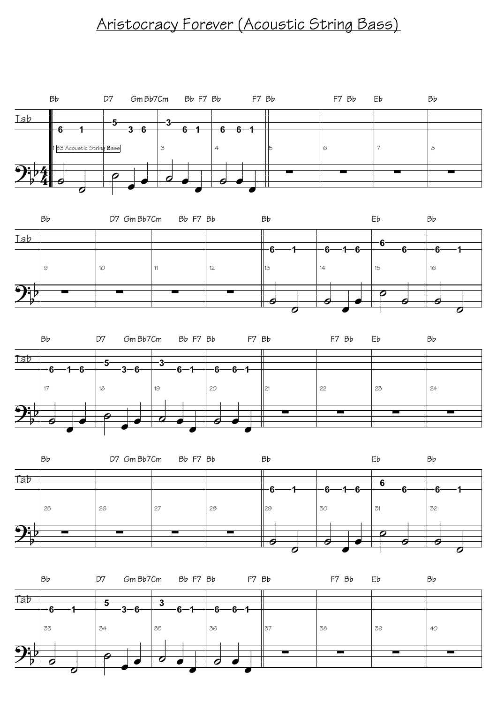### Aristocracy Forever (Acoustic String Bass)

![](_page_17_Figure_1.jpeg)

![](_page_17_Figure_2.jpeg)

![](_page_17_Figure_3.jpeg)

![](_page_17_Figure_4.jpeg)

![](_page_17_Figure_5.jpeg)